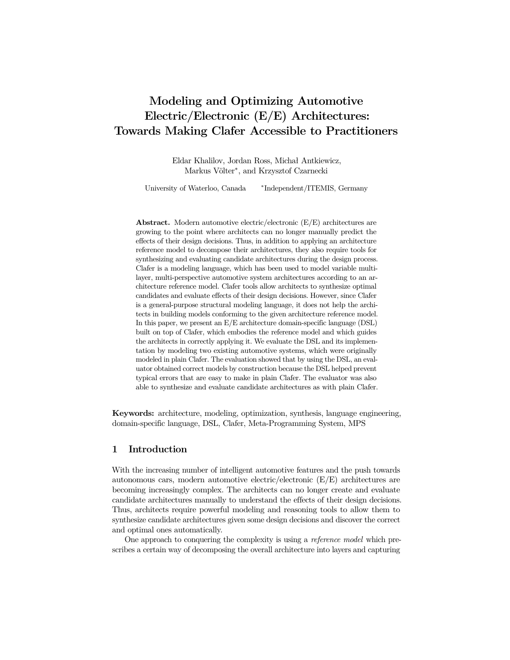# **Modeling and Optimizing Automotive Electric/Electronic (E/E) Architectures: Towards Making Clafer Accessible to Practitioners**

Eldar Khalilov, Jordan Ross, Michał Antkiewicz, Markus Völter<sup>∗</sup> , and Krzysztof Czarnecki

University of Waterloo, Canada <sup>∗</sup> Independent/ITEMIS, Germany

**Abstract.** Modern automotive electric/electronic (E/E) architectures are growing to the point where architects can no longer manually predict the effects of their design decisions. Thus, in addition to applying an architecture reference model to decompose their architectures, they also require tools for synthesizing and evaluating candidate architectures during the design process. Clafer is a modeling language, which has been used to model variable multilayer, multi-perspective automotive system architectures according to an architecture reference model. Clafer tools allow architects to synthesize optimal candidates and evaluate effects of their design decisions. However, since Clafer is a general-purpose structural modeling language, it does not help the architects in building models conforming to the given architecture reference model. In this paper, we present an E/E architecture domain-specific language (DSL) built on top of Clafer, which embodies the reference model and which guides the architects in correctly applying it. We evaluate the DSL and its implementation by modeling two existing automotive systems, which were originally modeled in plain Clafer. The evaluation showed that by using the DSL, an evaluator obtained correct models by construction because the DSL helped prevent typical errors that are easy to make in plain Clafer. The evaluator was also able to synthesize and evaluate candidate architectures as with plain Clafer.

**Keywords:** architecture, modeling, optimization, synthesis, language engineering, domain-specific language, DSL, Clafer, Meta-Programming System, MPS

## **1 Introduction**

With the increasing number of intelligent automotive features and the push towards autonomous cars, modern automotive electric/electronic (E/E) architectures are becoming increasingly complex. The architects can no longer create and evaluate candidate architectures manually to understand the effects of their design decisions. Thus, architects require powerful modeling and reasoning tools to allow them to synthesize candidate architectures given some design decisions and discover the correct and optimal ones automatically.

One approach to conquering the complexity is using a *reference model* which prescribes a certain way of decomposing the overall architecture into layers and capturing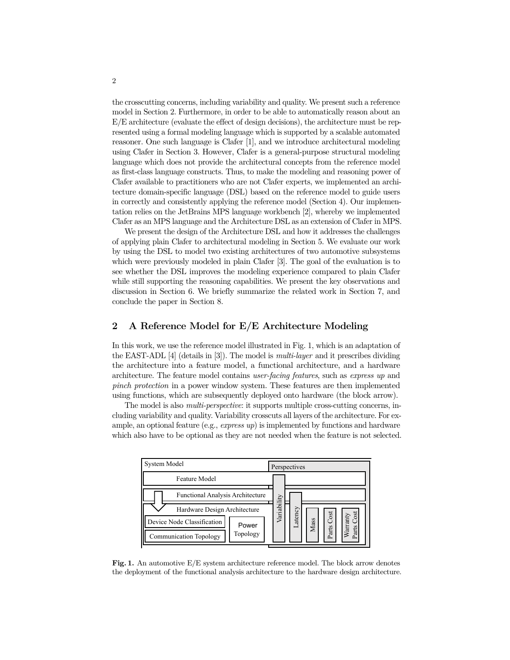the crosscutting concerns, including variability and quality. We present such a reference model in Section [2.](#page-1-0) Furthermore, in order to be able to automatically reason about an  $E/E$  architecture (evaluate the effect of design decisions), the architecture must be represented using a formal modeling language which is supported by a scalable automated reasoner. One such language is Clafer [\[1\]](#page-15-0), and we introduce architectural modeling using Clafer in Section [3.](#page-2-0) However, Clafer is a general-purpose structural modeling language which does not provide the architectural concepts from the reference model as first-class language constructs. Thus, to make the modeling and reasoning power of Clafer available to practitioners who are not Clafer experts, we implemented an architecture domain-specific language (DSL) based on the reference model to guide users in correctly and consistently applying the reference model (Section [4\)](#page-3-0). Our implementation relies on the JetBrains MPS language workbench [\[2\]](#page-15-1), whereby we implemented Clafer as an MPS language and the Architecture DSL as an extension of Clafer in MPS.

We present the design of the Architecture DSL and how it addresses the challenges of applying plain Clafer to architectural modeling in Section [5.](#page-4-0) We evaluate our work by using the DSL to model two existing architectures of two automotive subsystems which were previously modeled in plain Clafer [\[3\]](#page-15-2). The goal of the evaluation is to see whether the DSL improves the modeling experience compared to plain Clafer while still supporting the reasoning capabilities. We present the key observations and discussion in Section [6.](#page-11-0) We briefly summarize the related work in Section [7,](#page-13-0) and conclude the paper in Section [8.](#page-14-0)

# <span id="page-1-0"></span>**2 A Reference Model for E/E Architecture Modeling**

In this work, we use the reference model illustrated in Fig. [1,](#page-1-1) which is an adaptation of the EAST-ADL [\[4\]](#page-15-3) (details in [\[3\]](#page-15-2)). The model is *multi-layer* and it prescribes dividing the architecture into a feature model, a functional architecture, and a hardware architecture. The feature model contains *user-facing features*, such as *express up* and *pinch protection* in a power window system. These features are then implemented using functions, which are subsequently deployed onto hardware (the block arrow).

The model is also *multi-perspective*: it supports multiple cross-cutting concerns, including variability and quality. Variability crosscuts all layers of the architecture. For example, an optional feature (e.g., *express up*) is implemented by functions and hardware which also have to be optional as they are not needed when the feature is not selected.



<span id="page-1-1"></span>Fig. 1. An automotive E/E system architecture reference model. The block arrow denotes the deployment of the functional analysis architecture to the hardware design architecture.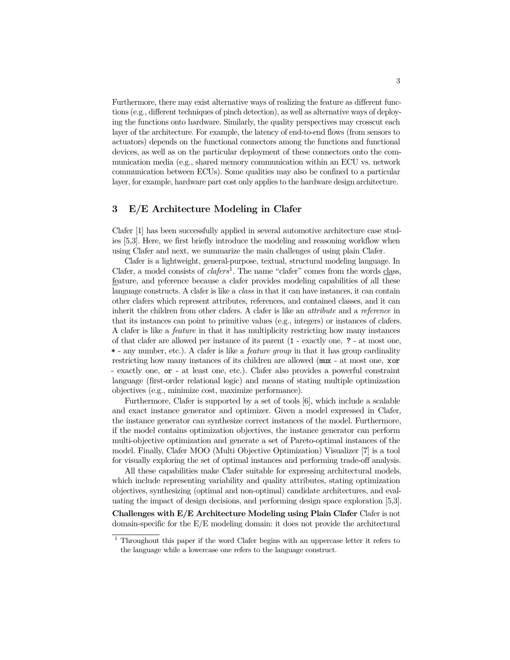Furthermore, there may exist alternative ways of realizing the feature as different functions (e.g., different techniques of pinch detection), as well as alternative ways of deploying the functions onto hardware. Similarly, the quality perspectives may crosscut each layer of the architecture. For example, the latency of end-to-end flows (from sensors to actuators) depends on the functional connectors among the functions and functional devices, as well as on the particular deployment of these connectors onto the communication media (e.g., shared memory communication within an ECU vs. network communication between ECUs). Some qualities may also be confined to a particular layer, for example, hardware part cost only applies to the hardware design architecture.

## <span id="page-2-0"></span>**3 E/E Architecture Modeling in Clafer**

Clafer [\[1\]](#page-15-0) has been successfully applied in several automotive architecture case studies [\[5](#page-15-4)[,3\]](#page-15-2). Here, we first briefly introduce the modeling and reasoning workflow when using Clafer and next, we summarize the main challenges of using plain Clafer.

Clafer is a lightweight, general-purpose, textual, structural modeling language. In Clafer, a model consists of *clafers*<sup>[1](#page-2-1)</sup>. The name "clafer" comes from the words class, feature, and reference because a clafer provides modeling capabilities of all these language constructs. A clafer is like a *class* in that it can have instances, it can contain other clafers which represent attributes, references, and contained classes, and it can inherit the children from other clafers. A clafer is like an *attribute* and a *reference* in that its instances can point to primitive values (e.g., integers) or instances of clafers. A clafer is like a *feature* in that it has multiplicity restricting how many instances of that clafer are allowed per instance of its parent  $(1 - \text{exactly one}, ? - \text{at most one}, ...)$ ✯ - any number, etc.). A clafer is like a *feature group* in that it has group cardinality restricting how many instances of its children are allowed ( $\mu$ ux - at most one, xor - exactly one, or - at least one, etc.). Clafer also provides a powerful constraint language (first-order relational logic) and means of stating multiple optimization objectives (e.g., minimize cost, maximize performance).

Furthermore, Clafer is supported by a set of tools [\[6\]](#page-15-5), which include a scalable and exact instance generator and optimizer. Given a model expressed in Clafer, the instance generator can synthesize correct instances of the model. Furthermore, if the model contains optimization objectives, the instance generator can perform multi-objective optimization and generate a set of Pareto-optimal instances of the model. Finally, Clafer MOO (Multi Objective Optimization) Visualizer [\[7\]](#page-15-6) is a tool for visually exploring the set of optimal instances and performing trade-off analysis.

All these capabilities make Clafer suitable for expressing architectural models, which include representing variability and quality attributes, stating optimization objectives, synthesizing (optimal and non-optimal) candidate architectures, and evaluating the impact of design decisions, and performing design space exploration [\[5,](#page-15-4)[3\]](#page-15-2).

**Challenges with E/E Architecture Modeling using Plain Clafer** Clafer is not domain-specific for the E/E modeling domain: it does not provide the architectural

<span id="page-2-1"></span><sup>1</sup> Throughout this paper if the word Clafer begins with an uppercase letter it refers to the language while a lowercase one refers to the language construct.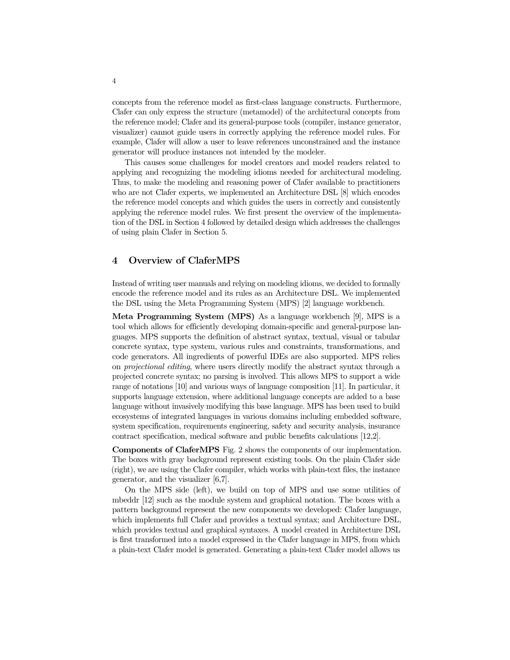concepts from the reference model as first-class language constructs. Furthermore, Clafer can only express the structure (metamodel) of the architectural concepts from the reference model; Clafer and its general-purpose tools (compiler, instance generator, visualizer) cannot guide users in correctly applying the reference model rules. For example, Clafer will allow a user to leave references unconstrained and the instance generator will produce instances not intended by the modeler.

This causes some challenges for model creators and model readers related to applying and recognizing the modeling idioms needed for architectural modeling. Thus, to make the modeling and reasoning power of Clafer available to practitioners who are not Clafer experts, we implemented an Architecture DSL [\[8\]](#page-15-7) which encodes the reference model concepts and which guides the users in correctly and consistently applying the reference model rules. We first present the overview of the implementation of the DSL in Section [4](#page-3-0) followed by detailed design which addresses the challenges of using plain Clafer in Section [5.](#page-4-0)

# <span id="page-3-0"></span>**4 Overview of ClaferMPS**

Instead of writing user manuals and relying on modeling idioms, we decided to formally encode the reference model and its rules as an Architecture DSL. We implemented the DSL using the Meta Programming System (MPS) [\[2\]](#page-15-1) language workbench.

**Meta Programming System (MPS)** As a language workbench [\[9\]](#page-15-8), MPS is a tool which allows for efficiently developing domain-specific and general-purpose languages. MPS supports the definition of abstract syntax, textual, visual or tabular concrete syntax, type system, various rules and constraints, transformations, and code generators. All ingredients of powerful IDEs are also supported. MPS relies on *projectional editing*, where users directly modify the abstract syntax through a projected concrete syntax; no parsing is involved. This allows MPS to support a wide range of notations [\[10\]](#page-15-9) and various ways of language composition [\[11\]](#page-15-10). In particular, it supports language extension, where additional language concepts are added to a base language without invasively modifying this base language. MPS has been used to build ecosystems of integrated languages in various domains including embedded software, system specification, requirements engineering, safety and security analysis, insurance contract specification, medical software and public benefits calculations [\[12,](#page-15-11)[2\]](#page-15-1).

**Components of ClaferMPS** Fig. [2](#page-4-1) shows the components of our implementation. The boxes with gray background represent existing tools. On the plain Clafer side (right), we are using the Clafer compiler, which works with plain-text files, the instance generator, and the visualizer [\[6,](#page-15-5)[7\]](#page-15-6).

On the MPS side (left), we build on top of MPS and use some utilities of mbeddr [\[12\]](#page-15-11) such as the module system and graphical notation. The boxes with a pattern background represent the new components we developed: Clafer language, which implements full Clafer and provides a textual syntax; and Architecture DSL, which provides textual and graphical syntaxes. A model created in Architecture DSL is first transformed into a model expressed in the Clafer language in MPS, from which a plain-text Clafer model is generated. Generating a plain-text Clafer model allows us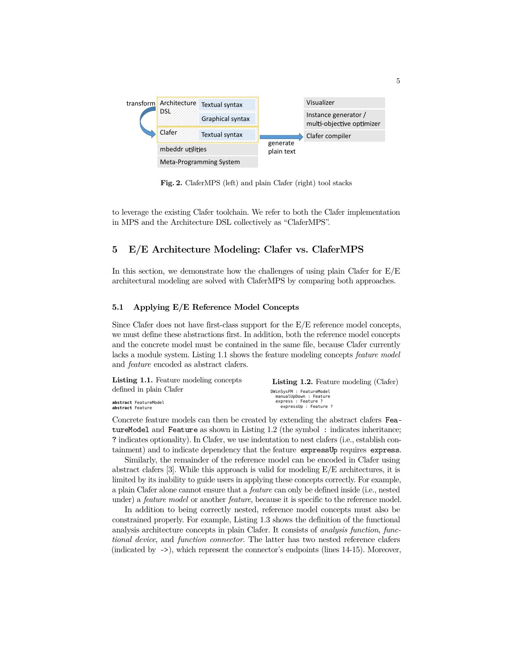

<span id="page-4-1"></span>**Fig. 2.** ClaferMPS (left) and plain Clafer (right) tool stacks

to leverage the existing Clafer toolchain. We refer to both the Clafer implementation in MPS and the Architecture DSL collectively as "ClaferMPS".

# <span id="page-4-0"></span>**5 E/E Architecture Modeling: Clafer vs. ClaferMPS**

In this section, we demonstrate how the challenges of using plain Clafer for  $E/E$ architectural modeling are solved with ClaferMPS by comparing both approaches.

## **5.1 Applying E/E Reference Model Concepts**

Since Clafer does not have first-class support for the E/E reference model concepts, we must define these abstractions first. In addition, both the reference model concepts and the concrete model must be contained in the same file, because Clafer currently lacks a module system. Listing [1.1](#page-4-2) shows the feature modeling concepts *feature model* and *feature* encoded as abstract clafers.

<span id="page-4-3"></span><span id="page-4-2"></span>

| <b>Listing 1.1.</b> Feature modeling concepts | <b>Listing 1.2.</b> Feature modeling (Clafer)      |
|-----------------------------------------------|----------------------------------------------------|
| defined in plain Clafer                       | DWinSvsFM : FeatureModel<br>manualUpDown : Feature |
| abstract FeatureModel<br>abstract Feature     | express : Feature ?<br>expressUp : Feature ?       |

Concrete feature models can then be created by extending the abstract clafers **Fea** tureModel and Feature as shown in Listing [1.2](#page-4-3) (the symbol : indicates inheritance; ? indicates optionality). In Clafer, we use indentation to nest clafers (i.e., establish containment) and to indicate dependency that the feature expressUp requires express.

Similarly, the remainder of the reference model can be encoded in Clafer using abstract clafers [\[3\]](#page-15-2). While this approach is valid for modeling E/E architectures, it is limited by its inability to guide users in applying these concepts correctly. For example, a plain Clafer alone cannot ensure that a *feature* can only be defined inside (i.e., nested under) a *feature model* or another *feature*, because it is specific to the reference model.

In addition to being correctly nested, reference model concepts must also be constrained properly. For example, Listing [1.3](#page-5-0) shows the definition of the functional analysis architecture concepts in plain Clafer. It consists of *analysis function*, *functional device*, and *function connector*. The latter has two nested reference clafers (indicated by  $\rightarrow$ ), which represent the connector's endpoints (lines 14-15). Moreover,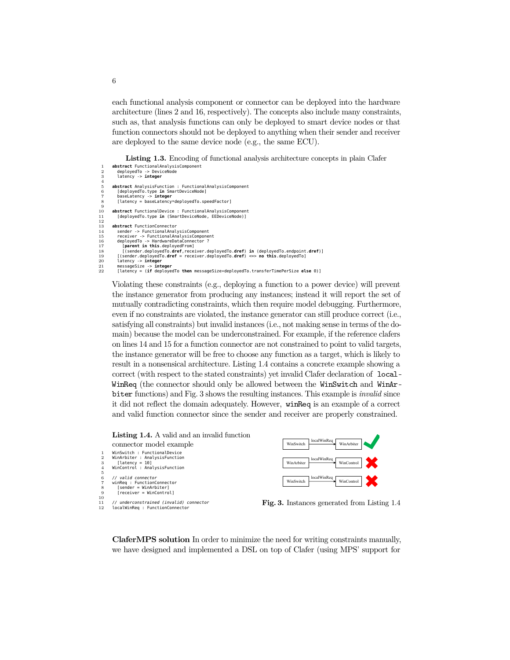each functional analysis component or connector can be deployed into the hardware architecture (lines 2 and 16, respectively). The concepts also include many constraints, such as, that analysis functions can only be deployed to smart device nodes or that function connectors should not be deployed to anything when their sender and receiver are deployed to the same device node (e.g., the same ECU).

<span id="page-5-0"></span>Listing 1.3. Encoding of functional analysis architecture concepts in plain Clafer

```
1 abstract FunctionalAnalysisComponent
 2 deployedTo -> DeviceNode
3 latency -> integer
 4
 5 abstract AnalysisFunction : FunctionalAnalysisComponent
6 [deployedTo.type in SmartDeviceNode]
7 baseLatency -> integer
           [latency = baseLatency*deployedTo.speedFactor]
 9
10 abstract FunctionalDevice : FunctionalAnalysisComponent
           [deployedTo.type in (SmartDeviceNode, EEDeviceNode)]
\frac{11}{12}13 abstract FunctionConnector<br>
14 sender -> FunctionalAnal<br>
16 deployedTo -> HardwareDa<br>
16 deployedTo -> HardwareDa<br>
17 [parent in this.deploy<br>
18 [(sender.deployedTo.dref<br>
19 [(sender.deployedTo.dref
14 sender -> FunctionalAnalysisComponent
15 receiver -> FunctionalAnalysisComponent
           16 deployedTo -> HardwareDataConnector ?
17 [parent in this.deployedFrom]
18 [(sender.deployedTo.dref,receiver.deployedTo.dref) in (deployedTo.endpoint.dref)]
19 [(sender.deployedTo.dref = receiver.deployedTo.dref) <=> no this.deployedTo]
20 latency -> integer
21 messageSize -> integer
22 [latency = (if deployedTo then messageSize*deployedTo.transferTimePerSize else 0)]
```
Violating these constraints (e.g., deploying a function to a power device) will prevent the instance generator from producing any instances; instead it will report the set of mutually contradicting constraints, which then require model debugging. Furthermore, even if no constraints are violated, the instance generator can still produce correct (i.e., satisfying all constraints) but invalid instances (i.e., not making sense in terms of the domain) because the model can be underconstrained. For example, if the reference clafers on lines 14 and 15 for a function connector are not constrained to point to valid targets, the instance generator will be free to choose any function as a target, which is likely to result in a nonsensical architecture. Listing [1.4](#page-5-1) contains a concrete example showing a correct (with respect to the stated constraints) yet invalid Clafer declaration of  $\texttt{local}$ WinReq (the connector should only be allowed between the WinSwitch and WinAr-biter functions) and Fig. [3](#page-5-2) shows the resulting instances. This example is *invalid* since it did not reflect the domain adequately. However, winked is an example of a correct and valid function connector since the sender and receiver are properly constrained.

<span id="page-5-1"></span>





<span id="page-5-2"></span>**Fig. 3.** Instances generated from Listing [1.4](#page-5-1)

**ClaferMPS solution** In order to minimize the need for writing constraints manually, we have designed and implemented a DSL on top of Clafer (using MPS' support for

6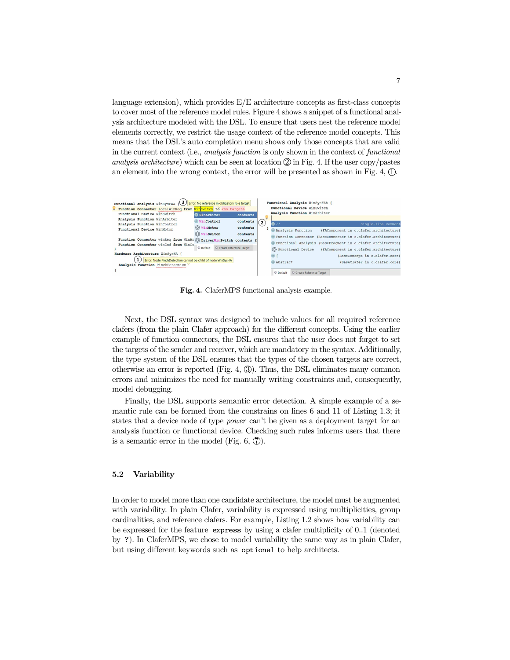language extension), which provides E/E architecture concepts as first-class concepts to cover most of the reference model rules. Figure [4](#page-6-0) shows a snippet of a functional analysis architecture modeled with the DSL. To ensure that users nest the reference model elements correctly, we restrict the usage context of the reference model concepts. This means that the DSL's auto completion menu shows only those concepts that are valid in the current context (i.e., *analysis function* is only shown in the context of *functional analysis architecture*) which can be seen at location  $\Omega$  in Fig. [4.](#page-6-0) If the user copy/pastes an element into the wrong context, the error will be presented as shown in Fig. [4,](#page-6-0)  $(1)$ .



**Fig. 4.** ClaferMPS functional analysis example.

<span id="page-6-0"></span>Next, the DSL syntax was designed to include values for all required reference clafers (from the plain Clafer approach) for the different concepts. Using the earlier example of function connectors, the DSL ensures that the user does not forget to set the targets of the sender and receiver, which are mandatory in the syntax. Additionally, the type system of the DSL ensures that the types of the chosen targets are correct, otherwise an error is reported (Fig. [4,](#page-6-0)  $\mathcal{B}$ ). Thus, the DSL eliminates many common errors and minimizes the need for manually writing constraints and, consequently, model debugging.

Finally, the DSL supports semantic error detection. A simple example of a semantic rule can be formed from the constrains on lines 6 and 11 of Listing [1.3;](#page-5-0) it states that a device node of type *power* can't be given as a deployment target for an analysis function or functional device. Checking such rules informs users that there is a semantic error in the model (Fig.  $6, (7)$ ).

#### **5.2 Variability**

In order to model more than one candidate architecture, the model must be augmented with variability. In plain Clafer, variability is expressed using multiplicities, group cardinalities, and reference clafers. For example, Listing [1.2](#page-4-3) shows how variability can be expressed for the feature **express** by using a clafer multiplicity of 0..1 (denoted by ?). In ClaferMPS, we chose to model variability the same way as in plain Clafer, but using different keywords such as **optional** to help architects.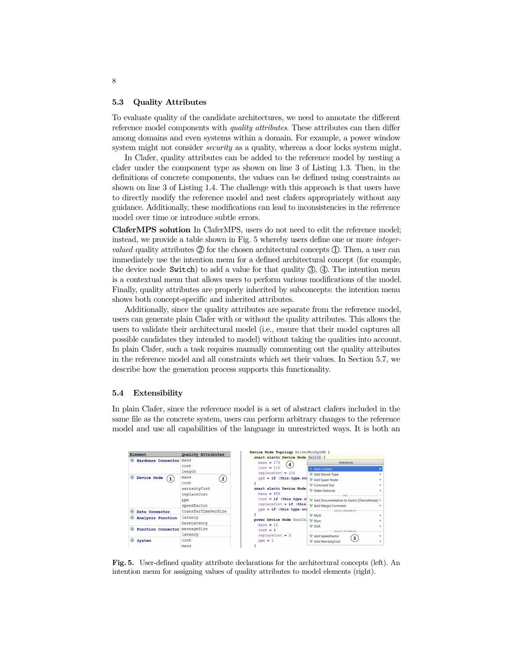#### <span id="page-7-1"></span>**5.3 Quality Attributes**

To evaluate quality of the candidate architectures, we need to annotate the different reference model components with *quality attributes*. These attributes can then differ among domains and even systems within a domain. For example, a power window system might not consider *security* as a quality, whereas a door locks system might.

In Clafer, quality attributes can be added to the reference model by nesting a clafer under the component type as shown on line 3 of Listing [1.3.](#page-5-0) Then, in the definitions of concrete components, the values can be defined using constraints as shown on line 3 of Listing [1.4.](#page-5-1) The challenge with this approach is that users have to directly modify the reference model and nest clafers appropriately without any guidance. Additionally, these modifications can lead to inconsistencies in the reference model over time or introduce subtle errors.

**ClaferMPS solution** In ClaferMPS, users do not need to edit the reference model; instead, we provide a table shown in Fig. [5](#page-7-0) whereby users define one or more *integervalued* quality attributes  $(2)$  for the chosen architectural concepts  $(1)$ . Then, a user can immediately use the intention menu for a defined architectural concept (for example, the device node  $\texttt{Switch}$  to add a value for that quality  $\textcircled{3}$ ,  $\textcircled{4}$ . The intention menu is a contextual menu that allows users to perform various modifications of the model. Finally, quality attributes are properly inherited by subconcepts: the intention menu shows both concept-specific and inherited attributes.

Additionally, since the quality attributes are separate from the reference model, users can generate plain Clafer with or without the quality attributes. This allows the users to validate their architectural model (i.e., ensure that their model captures all possible candidates they intended to model) without taking the qualities into account. In plain Clafer, such a task requires manually commenting out the quality attributes in the reference model and all constraints which set their values. In Section [5.7,](#page-10-0) we describe how the generation process supports this functionality.

#### **5.4 Extensibility**

In plain Clafer, since the reference model is a set of abstract clafers included in the same file as the concrete system, users can perform arbitrary changes to the reference model and use all capabilities of the language in unrestricted ways. It is both an

| Element                            | <b>Ouality Attributes</b>                                                                             | Device Node Topology DriverWinSysDN {<br>smart electr Device Node Switch {                                                                                                |                                                                                                                                                                      |  |
|------------------------------------|-------------------------------------------------------------------------------------------------------|---------------------------------------------------------------------------------------------------------------------------------------------------------------------------|----------------------------------------------------------------------------------------------------------------------------------------------------------------------|--|
| Hardware Connector mass            |                                                                                                       | $mass = 173$<br>$\left( 4 \right)$                                                                                                                                        | <b>Intentions</b>                                                                                                                                                    |  |
| <b>Device Node</b><br>$\mathbf{1}$ | cost<br>length<br>mass<br>$\overline{2}$<br>cost<br>warrantyCost<br>replaceCost<br>ppm<br>speedFactor | $cost = 110$<br>$replaceCost = 110$<br>$ppm = if$ (this.type.sma)<br>smart electr Device Node<br>$mass = 453$<br>$cost = if (this. type.s)$<br>$replacedcost = if (this)$ | <b>Z</b> Add Content<br>Add Device Type<br>Add Super Node<br>Comment Out<br>Make Optional<br>poc<br>Add Documentation to Switch [DeviceNode] ><br>Add Margin Comment |  |
| Data Connector                     | transferTimePerSize                                                                                   | $ppm = if$ (this.type.sma                                                                                                                                                 | <b>GROUP CARDINALITY</b>                                                                                                                                             |  |
| <b>Analysis Function</b>           | latency<br>baseLatency                                                                                | MUX <sup>2</sup><br>power Device Node DoorIn]<br>Num<br>$mass = 10$                                                                                                       |                                                                                                                                                                      |  |
| Function Connector messageSize     | latency                                                                                               | $cost = 4$<br>$replacedost = 2$                                                                                                                                           | $\rightarrow$ XOR<br><b>QUALITY ATTRIBUTES</b><br>Add SpeedFactor                                                                                                    |  |
| <b>System</b>                      | cost<br>mass                                                                                          | $ppm = 1$                                                                                                                                                                 | 3<br>Add WarrantyCost                                                                                                                                                |  |

<span id="page-7-0"></span>**Fig. 5.** User-defined quality attribute declarations for the architectural concepts (left). An intention menu for assigning values of quality attributes to model elements (right).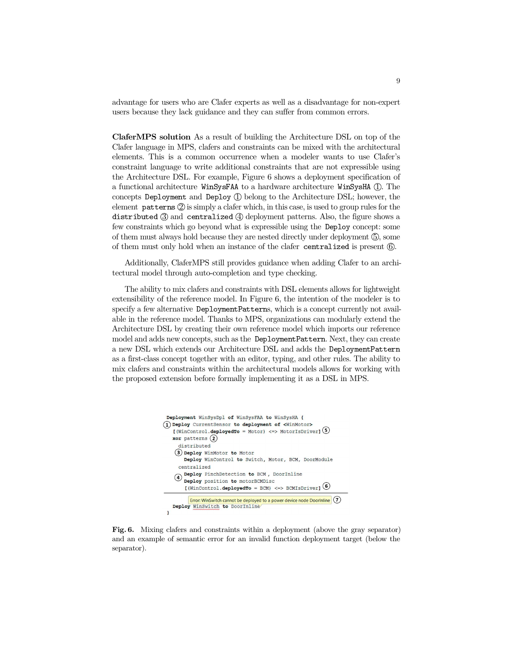advantage for users who are Clafer experts as well as a disadvantage for non-expert users because they lack guidance and they can suffer from common errors.

**ClaferMPS solution** As a result of building the Architecture DSL on top of the Clafer language in MPS, clafers and constraints can be mixed with the architectural elements. This is a common occurrence when a modeler wants to use Clafer's constraint language to write additional constraints that are not expressible using the Architecture DSL. For example, Figure [6](#page-8-0) shows a deployment specification of a functional architecture WinSysFAA to a hardware architecture WinSysHA (1). The concepts Deployment and Deploy ① belong to the Architecture DSL; however, the element  $\mathsf{patterns} \mathcal{Q}$  is simply a clafer which, in this case, is used to group rules for the distributed  $\Im$  and centralized  $\Im$  deployment patterns. Also, the figure shows a few constraints which go beyond what is expressible using the Deploy concept: some of them must always hold because they are nested directly under deployment (5), some of them must only hold when an instance of the clafer centralized is present  $(6)$ .

Additionally, ClaferMPS still provides guidance when adding Clafer to an architectural model through auto-completion and type checking.

The ability to mix clafers and constraints with DSL elements allows for lightweight extensibility of the reference model. In Figure [6,](#page-8-0) the intention of the modeler is to specify a few alternative DeploymentPatterns, which is a concept currently not available in the reference model. Thanks to MPS, organizations can modularly extend the Architecture DSL by creating their own reference model which imports our reference model and adds new concepts, such as the DeploymentPattern. Next, they can create a new DSL which extends our Architecture DSL and adds the DeploymentPattern as a first-class concept together with an editor, typing, and other rules. The ability to mix clafers and constraints within the architectural models allows for working with the proposed extension before formally implementing it as a DSL in MPS.



<span id="page-8-0"></span>**Fig. 6.** Mixing clafers and constraints within a deployment (above the gray separator) and an example of semantic error for an invalid function deployment target (below the separator).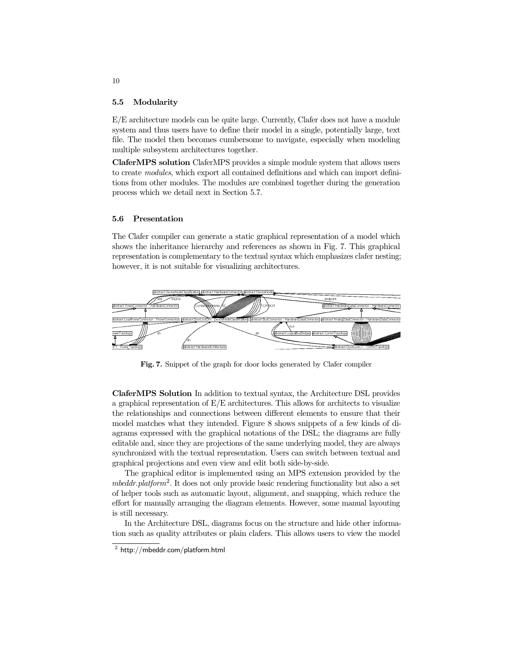#### **5.5 Modularity**

E/E architecture models can be quite large. Currently, Clafer does not have a module system and thus users have to define their model in a single, potentially large, text file. The model then becomes cumbersome to navigate, especially when modeling multiple subsystem architectures together.

**ClaferMPS solution** ClaferMPS provides a simple module system that allows users to create *modules*, which export all contained definitions and which can import definitions from other modules. The modules are combined together during the generation process which we detail next in Section [5.7.](#page-10-0)

#### **5.6 Presentation**

The Clafer compiler can generate a static graphical representation of a model which shows the inheritance hierarchy and references as shown in Fig. [7.](#page-9-0) This graphical representation is complementary to the textual syntax which emphasizes clafer nesting; however, it is not suitable for visualizing architectures.



<span id="page-9-0"></span>**Fig. 7.** Snippet of the graph for door locks generated by Clafer compiler

**ClaferMPS Solution** In addition to textual syntax, the Architecture DSL provides a graphical representation of E/E architectures. This allows for architects to visualize the relationships and connections between different elements to ensure that their model matches what they intended. Figure [8](#page-10-1) shows snippets of a few kinds of diagrams expressed with the graphical notations of the DSL; the diagrams are fully editable and, since they are projections of the same underlying model, they are always synchronized with the textual representation. Users can switch between textual and graphical projections and even view and edit both side-by-side.

The graphical editor is implemented using an MPS extension provided by the *mbeddr.platform*[2](#page-9-1) . It does not only provide basic rendering functionality but also a set of helper tools such as automatic layout, alignment, and snapping, which reduce the effort for manually arranging the diagram elements. However, some manual layouting is still necessary.

In the Architecture DSL, diagrams focus on the structure and hide other information such as quality attributes or plain clafers. This allows users to view the model

10

<span id="page-9-1"></span> $^2$  <http://mbeddr.com/platform.html>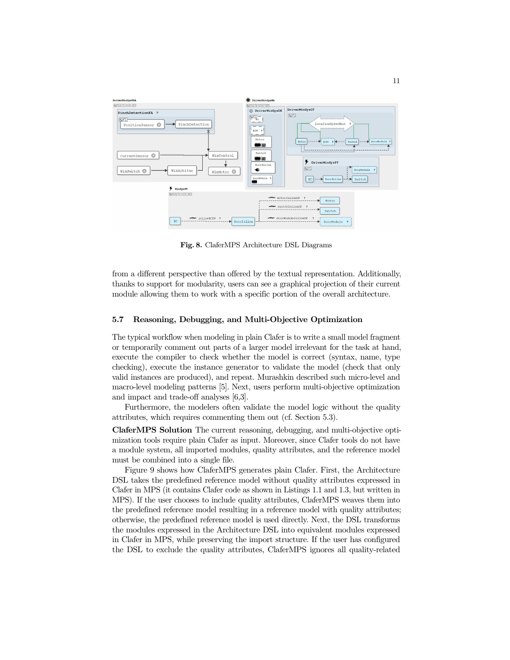

<span id="page-10-1"></span>**Fig. 8.** ClaferMPS Architecture DSL Diagrams

from a different perspective than offered by the textual representation. Additionally, thanks to support for modularity, users can see a graphical projection of their current module allowing them to work with a specific portion of the overall architecture.

#### <span id="page-10-0"></span>**5.7 Reasoning, Debugging, and Multi-Objective Optimization**

The typical workflow when modeling in plain Clafer is to write a small model fragment or temporarily comment out parts of a larger model irrelevant for the task at hand, execute the compiler to check whether the model is correct (syntax, name, type checking), execute the instance generator to validate the model (check that only valid instances are produced), and repeat. Murashkin described such micro-level and macro-level modeling patterns [\[5\]](#page-15-4). Next, users perform multi-objective optimization and impact and trade-off analyses [\[6,](#page-15-5)[3\]](#page-15-2).

Furthermore, the modelers often validate the model logic without the quality attributes, which requires commenting them out (cf. Section [5.3\)](#page-7-1).

**ClaferMPS Solution** The current reasoning, debugging, and multi-objective optimization tools require plain Clafer as input. Moreover, since Clafer tools do not have a module system, all imported modules, quality attributes, and the reference model must be combined into a single file.

Figure [9](#page-11-1) shows how ClaferMPS generates plain Clafer. First, the Architecture DSL takes the predefined reference model without quality attributes expressed in Clafer in MPS (it contains Clafer code as shown in Listings [1.1](#page-4-2) and [1.3,](#page-5-0) but written in MPS). If the user chooses to include quality attributes, ClaferMPS weaves them into the predefined reference model resulting in a reference model with quality attributes; otherwise, the predefined reference model is used directly. Next, the DSL transforms the modules expressed in the Architecture DSL into equivalent modules expressed in Clafer in MPS, while preserving the import structure. If the user has configured the DSL to exclude the quality attributes, ClaferMPS ignores all quality-related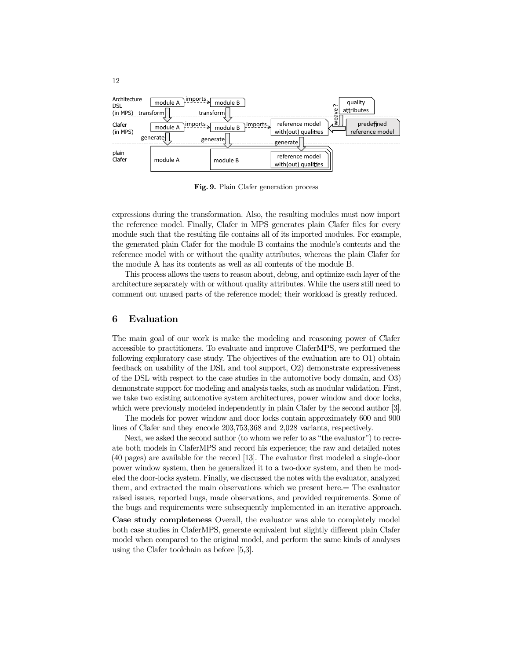

<span id="page-11-1"></span>**Fig. 9.** Plain Clafer generation process

expressions during the transformation. Also, the resulting modules must now import the reference model. Finally, Clafer in MPS generates plain Clafer files for every module such that the resulting file contains all of its imported modules. For example, the generated plain Clafer for the module B contains the module's contents and the reference model with or without the quality attributes, whereas the plain Clafer for the module A has its contents as well as all contents of the module B.

This process allows the users to reason about, debug, and optimize each layer of the architecture separately with or without quality attributes. While the users still need to comment out unused parts of the reference model; their workload is greatly reduced.

#### <span id="page-11-0"></span>**6 Evaluation**

The main goal of our work is make the modeling and reasoning power of Clafer accessible to practitioners. To evaluate and improve ClaferMPS, we performed the following exploratory case study. The objectives of the evaluation are to O1) obtain feedback on usability of the DSL and tool support, O2) demonstrate expressiveness of the DSL with respect to the case studies in the automotive body domain, and O3) demonstrate support for modeling and analysis tasks, such as modular validation. First, we take two existing automotive system architectures, power window and door locks, which were previously modeled independently in plain Clafer by the second author [\[3\]](#page-15-2).

The models for power window and door locks contain approximately 600 and 900 lines of Clafer and they encode 203,753,368 and 2,028 variants, respectively.

Next, we asked the second author (to whom we refer to as "the evaluator") to recreate both models in ClaferMPS and record his experience; the raw and detailed notes (40 pages) are available for the record [\[13\]](#page-15-12). The evaluator first modeled a single-door power window system, then he generalized it to a two-door system, and then he modeled the door-locks system. Finally, we discussed the notes with the evaluator, analyzed them, and extracted the main observations which we present here.= The evaluator raised issues, reported bugs, made observations, and provided requirements. Some of the bugs and requirements were subsequently implemented in an iterative approach.

**Case study completeness** Overall, the evaluator was able to completely model both case studies in ClaferMPS, generate equivalent but slightly different plain Clafer model when compared to the original model, and perform the same kinds of analyses using the Clafer toolchain as before [\[5,](#page-15-4)[3\]](#page-15-2).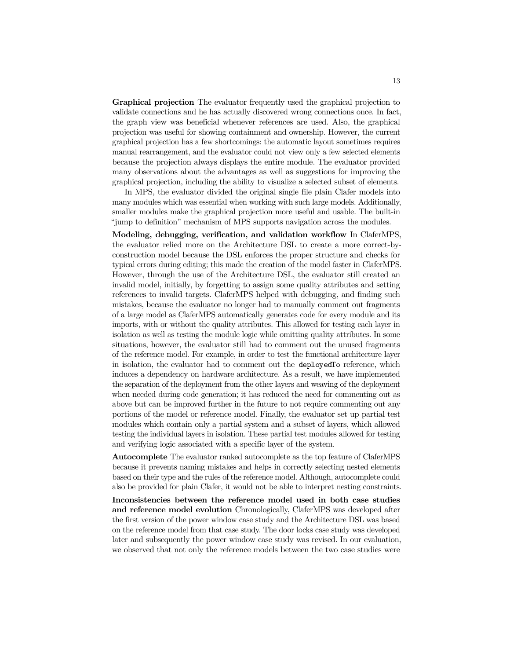**Graphical projection** The evaluator frequently used the graphical projection to validate connections and he has actually discovered wrong connections once. In fact, the graph view was beneficial whenever references are used. Also, the graphical projection was useful for showing containment and ownership. However, the current graphical projection has a few shortcomings: the automatic layout sometimes requires manual rearrangement, and the evaluator could not view only a few selected elements because the projection always displays the entire module. The evaluator provided many observations about the advantages as well as suggestions for improving the graphical projection, including the ability to visualize a selected subset of elements.

In MPS, the evaluator divided the original single file plain Clafer models into many modules which was essential when working with such large models. Additionally, smaller modules make the graphical projection more useful and usable. The built-in "jump to definition" mechanism of MPS supports navigation across the modules.

**Modeling, debugging, verification, and validation workflow** In ClaferMPS, the evaluator relied more on the Architecture DSL to create a more correct-byconstruction model because the DSL enforces the proper structure and checks for typical errors during editing; this made the creation of the model faster in ClaferMPS. However, through the use of the Architecture DSL, the evaluator still created an invalid model, initially, by forgetting to assign some quality attributes and setting references to invalid targets. ClaferMPS helped with debugging, and finding such mistakes, because the evaluator no longer had to manually comment out fragments of a large model as ClaferMPS automatically generates code for every module and its imports, with or without the quality attributes. This allowed for testing each layer in isolation as well as testing the module logic while omitting quality attributes. In some situations, however, the evaluator still had to comment out the unused fragments of the reference model. For example, in order to test the functional architecture layer in isolation, the evaluator had to comment out the deployed To reference, which induces a dependency on hardware architecture. As a result, we have implemented the separation of the deployment from the other layers and weaving of the deployment when needed during code generation; it has reduced the need for commenting out as above but can be improved further in the future to not require commenting out any portions of the model or reference model. Finally, the evaluator set up partial test modules which contain only a partial system and a subset of layers, which allowed testing the individual layers in isolation. These partial test modules allowed for testing and verifying logic associated with a specific layer of the system.

**Autocomplete** The evaluator ranked autocomplete as the top feature of ClaferMPS because it prevents naming mistakes and helps in correctly selecting nested elements based on their type and the rules of the reference model. Although, autocomplete could also be provided for plain Clafer, it would not be able to interpret nesting constraints.

**Inconsistencies between the reference model used in both case studies and reference model evolution** Chronologically, ClaferMPS was developed after the first version of the power window case study and the Architecture DSL was based on the reference model from that case study. The door locks case study was developed later and subsequently the power window case study was revised. In our evaluation, we observed that not only the reference models between the two case studies were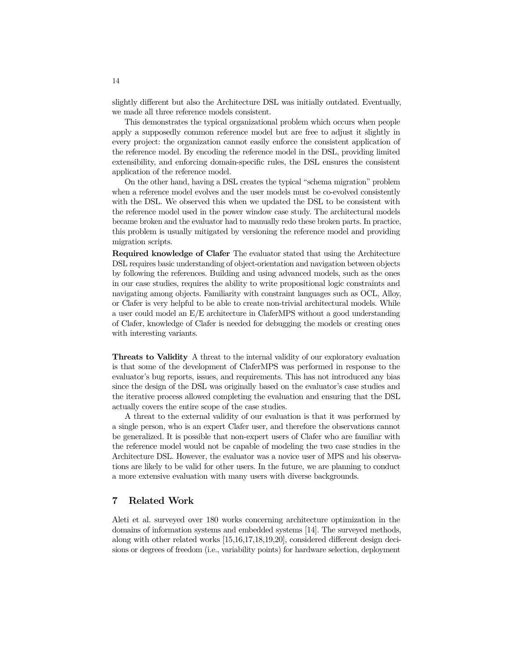slightly different but also the Architecture DSL was initially outdated. Eventually, we made all three reference models consistent.

This demonstrates the typical organizational problem which occurs when people apply a supposedly common reference model but are free to adjust it slightly in every project: the organization cannot easily enforce the consistent application of the reference model. By encoding the reference model in the DSL, providing limited extensibility, and enforcing domain-specific rules, the DSL ensures the consistent application of the reference model.

On the other hand, having a DSL creates the typical "schema migration" problem when a reference model evolves and the user models must be co-evolved consistently with the DSL. We observed this when we updated the DSL to be consistent with the reference model used in the power window case study. The architectural models became broken and the evaluator had to manually redo these broken parts. In practice, this problem is usually mitigated by versioning the reference model and providing migration scripts.

**Required knowledge of Clafer** The evaluator stated that using the Architecture DSL requires basic understanding of object-orientation and navigation between objects by following the references. Building and using advanced models, such as the ones in our case studies, requires the ability to write propositional logic constraints and navigating among objects. Familiarity with constraint languages such as OCL, Alloy, or Clafer is very helpful to be able to create non-trivial architectural models. While a user could model an E/E architecture in ClaferMPS without a good understanding of Clafer, knowledge of Clafer is needed for debugging the models or creating ones with interesting variants.

**Threats to Validity** A threat to the internal validity of our exploratory evaluation is that some of the development of ClaferMPS was performed in response to the evaluator's bug reports, issues, and requirements. This has not introduced any bias since the design of the DSL was originally based on the evaluator's case studies and the iterative process allowed completing the evaluation and ensuring that the DSL actually covers the entire scope of the case studies.

A threat to the external validity of our evaluation is that it was performed by a single person, who is an expert Clafer user, and therefore the observations cannot be generalized. It is possible that non-expert users of Clafer who are familiar with the reference model would not be capable of modeling the two case studies in the Architecture DSL. However, the evaluator was a novice user of MPS and his observations are likely to be valid for other users. In the future, we are planning to conduct a more extensive evaluation with many users with diverse backgrounds.

# <span id="page-13-0"></span>**7 Related Work**

Aleti et al. surveyed over 180 works concerning architecture optimization in the domains of information systems and embedded systems [\[14\]](#page-15-13). The surveyed methods, along with other related works [\[15](#page-15-14)[,16](#page-15-15)[,17](#page-15-16)[,18](#page-15-17)[,19](#page-15-18)[,20\]](#page-15-19), considered different design decisions or degrees of freedom (i.e., variability points) for hardware selection, deployment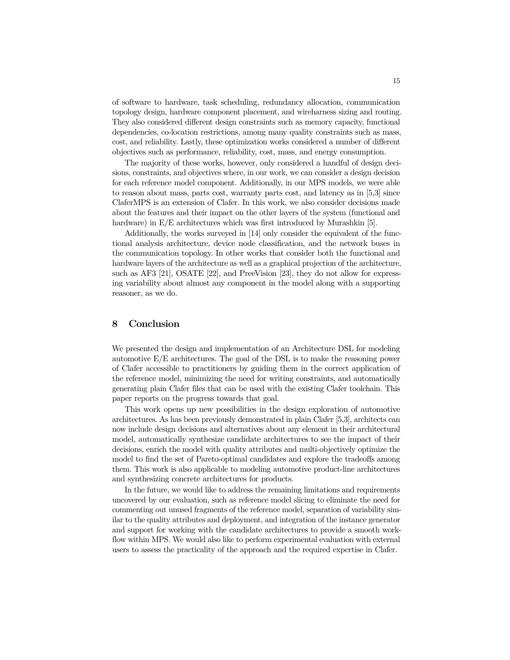of software to hardware, task scheduling, redundancy allocation, communication topology design, hardware component placement, and wireharness sizing and routing. They also considered different design constraints such as memory capacity, functional dependencies, co-location restrictions, among many quality constraints such as mass, cost, and reliability. Lastly, these optimization works considered a number of different objectives such as performance, reliability, cost, mass, and energy consumption.

The majority of these works, however, only considered a handful of design decisions, constraints, and objectives where, in our work, we can consider a design decision for each reference model component. Additionally, in our MPS models, we were able to reason about mass, parts cost, warranty parts cost, and latency as in [\[5,](#page-15-4)[3\]](#page-15-2) since ClaferMPS is an extension of Clafer. In this work, we also consider decisions made about the features and their impact on the other layers of the system (functional and hardware) in  $E/E$  architectures which was first introduced by Murashkin [\[5\]](#page-15-4).

Additionally, the works surveyed in [\[14\]](#page-15-13) only consider the equivalent of the functional analysis architecture, device node classification, and the network buses in the communication topology. In other works that consider both the functional and hardware layers of the architecture as well as a graphical projection of the architecture, such as AF3 [\[21\]](#page-15-20), OSATE [\[22\]](#page-15-21), and PreeVision [\[23\]](#page-15-22), they do not allow for expressing variability about almost any component in the model along with a supporting reasoner, as we do.

## <span id="page-14-0"></span>**8 Conclusion**

We presented the design and implementation of an Architecture DSL for modeling automotive E/E architectures. The goal of the DSL is to make the reasoning power of Clafer accessible to practitioners by guiding them in the correct application of the reference model, minimizing the need for writing constraints, and automatically generating plain Clafer files that can be used with the existing Clafer toolchain. This paper reports on the progress towards that goal.

This work opens up new possibilities in the design exploration of automotive architectures. As has been previously demonstrated in plain Clafer [\[5,](#page-15-4)[3\]](#page-15-2), architects can now include design decisions and alternatives about any element in their architectural model, automatically synthesize candidate architectures to see the impact of their decisions, enrich the model with quality attributes and multi-objectively optimize the model to find the set of Pareto-optimal candidates and explore the tradeoffs among them. This work is also applicable to modeling automotive product-line architectures and synthesizing concrete architectures for products.

In the future, we would like to address the remaining limitations and requirements uncovered by our evaluation, such as reference model slicing to eliminate the need for commenting out unused fragments of the reference model, separation of variability similar to the quality attributes and deployment, and integration of the instance generator and support for working with the candidate architectures to provide a smooth workflow within MPS. We would also like to perform experimental evaluation with external users to assess the practicality of the approach and the required expertise in Clafer.